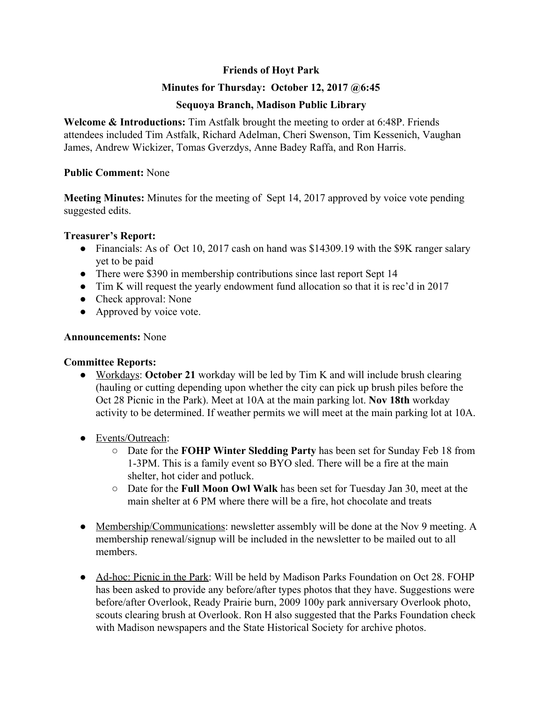## **Friends of Hoyt Park**

## **Minutes for Thursday: October 12, 2017 @6:45**

## **Sequoya Branch, Madison Public Library**

**Welcome & Introductions:** Tim Astfalk brought the meeting to order at 6:48P. Friends attendees included Tim Astfalk, Richard Adelman, Cheri Swenson, Tim Kessenich, Vaughan James, Andrew Wickizer, Tomas Gverzdys, Anne Badey Raffa, and Ron Harris.

## **Public Comment:** None

**Meeting Minutes:** Minutes for the meeting of Sept 14, 2017 approved by voice vote pending suggested edits.

## **Treasurer's Report:**

- Financials: As of Oct 10, 2017 cash on hand was \$14309.19 with the \$9K ranger salary yet to be paid
- There were \$390 in membership contributions since last report Sept 14
- Tim K will request the yearly endowment fund allocation so that it is rec'd in 2017
- Check approval: None
- Approved by voice vote.

# **Announcements:** None

# **Committee Reports:**

- Workdays: **October 21** workday will be led by Tim K and will include brush clearing (hauling or cutting depending upon whether the city can pick up brush piles before the Oct 28 Picnic in the Park). Meet at 10A at the main parking lot. **Nov 18th** workday activity to be determined. If weather permits we will meet at the main parking lot at 10A.
- Events/Outreach:
	- Date for the **FOHP Winter Sledding Party** has been set for Sunday Feb 18 from 1-3PM. This is a family event so BYO sled. There will be a fire at the main shelter, hot cider and potluck.
	- Date for the **Full Moon Owl Walk** has been set for Tuesday Jan 30, meet at the main shelter at 6 PM where there will be a fire, hot chocolate and treats
- Membership/Communications: newsletter assembly will be done at the Nov 9 meeting. A membership renewal/signup will be included in the newsletter to be mailed out to all members.
- Ad-hoc: Picnic in the Park: Will be held by Madison Parks Foundation on Oct 28. FOHP has been asked to provide any before/after types photos that they have. Suggestions were before/after Overlook, Ready Prairie burn, 2009 100y park anniversary Overlook photo, scouts clearing brush at Overlook. Ron H also suggested that the Parks Foundation check with Madison newspapers and the State Historical Society for archive photos.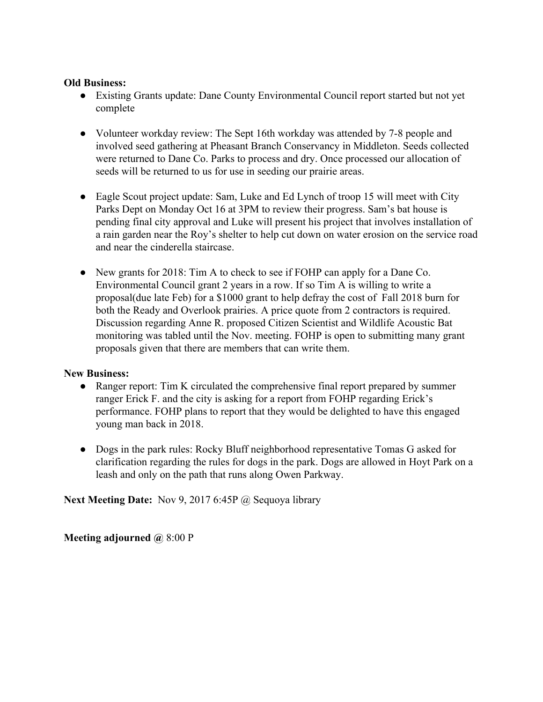#### **Old Business:**

- Existing Grants update: Dane County Environmental Council report started but not yet complete
- Volunteer workday review: The Sept 16th workday was attended by 7-8 people and involved seed gathering at Pheasant Branch Conservancy in Middleton. Seeds collected were returned to Dane Co. Parks to process and dry. Once processed our allocation of seeds will be returned to us for use in seeding our prairie areas.
- Eagle Scout project update: Sam, Luke and Ed Lynch of troop 15 will meet with City Parks Dept on Monday Oct 16 at 3PM to review their progress. Sam's bat house is pending final city approval and Luke will present his project that involves installation of a rain garden near the Roy's shelter to help cut down on water erosion on the service road and near the cinderella staircase.
- New grants for 2018: Tim A to check to see if FOHP can apply for a Dane Co. Environmental Council grant 2 years in a row. If so Tim A is willing to write a proposal(due late Feb) for a \$1000 grant to help defray the cost of Fall 2018 burn for both the Ready and Overlook prairies. A price quote from 2 contractors is required. Discussion regarding Anne R. proposed Citizen Scientist and Wildlife Acoustic Bat monitoring was tabled until the Nov. meeting. FOHP is open to submitting many grant proposals given that there are members that can write them.

## **New Business:**

- Ranger report: Tim K circulated the comprehensive final report prepared by summer ranger Erick F. and the city is asking for a report from FOHP regarding Erick's performance. FOHP plans to report that they would be delighted to have this engaged young man back in 2018.
- Dogs in the park rules: Rocky Bluff neighborhood representative Tomas G asked for clarification regarding the rules for dogs in the park. Dogs are allowed in Hoyt Park on a leash and only on the path that runs along Owen Parkway.

**Next Meeting Date:** Nov 9, 2017 6:45P @ Sequoya library

**Meeting adjourned @** 8:00 P